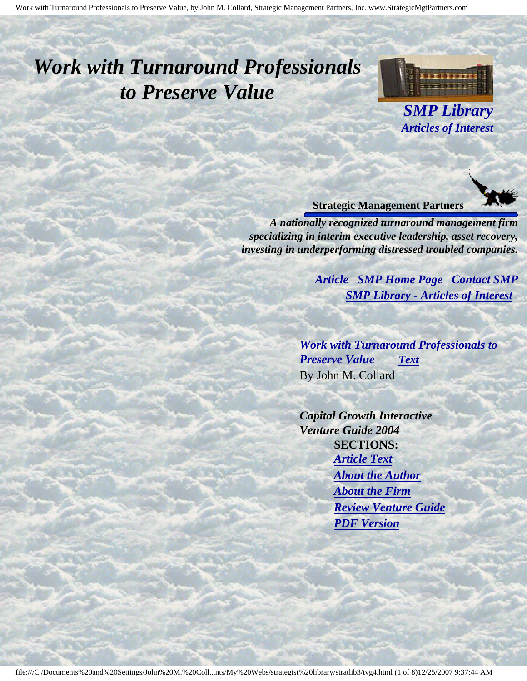# <span id="page-0-3"></span><span id="page-0-2"></span>*Work with Turnaround Professionals to Preserve Value*



*SMP Library Articles of Interest*

#### **Strategic Management Partners**

<span id="page-0-0"></span>*A nationally recognized turnaround management firm specializing in interim executive leadership, asset recovery, investing in underperforming distressed troubled companies.*

> *[Article](#page-0-0) [SMP Home Page](http://members.aol.com/strategist/home.html#TOP) [Contact SMP](#page-6-0) [SMP Library - Articles of Interest](http://members.aol.com/stratlib3/libindx.html#TOP)*

*Work with Turnaround Professionals to Preserve Value [Text](#page-1-0)* By John M. Collard

<span id="page-0-1"></span>*Capital Growth Interactive Venture Guide 2004*  **SECTIONS:** *[Article Text](#page-1-0) [About the Author](#page-4-0) [About the Firm](#page-5-0) [Review Venture Guide](#page-5-1) [PDF Version](http://members.aol.com/stratlib/vg-work.pdf)*

į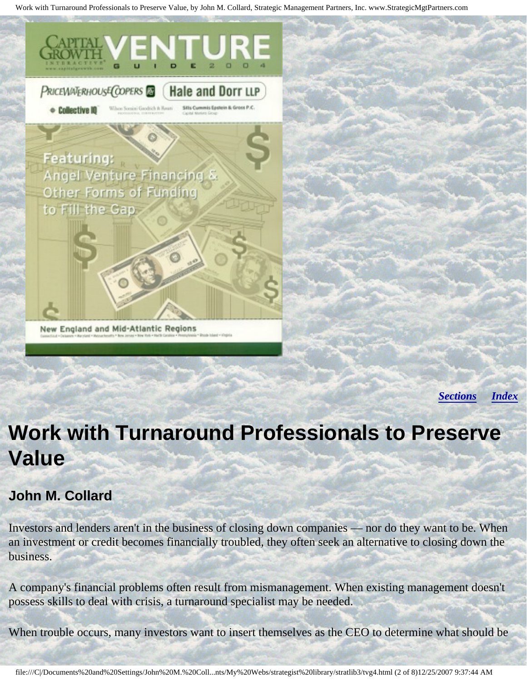

*[Sections](#page-0-1) [Index](#page-0-2)*

# <span id="page-1-0"></span>**Work with Turnaround Professionals to Preserve Value**

### **John M. Collard**

Investors and lenders aren't in the business of closing down companies — nor do they want to be. When an investment or credit becomes financially troubled, they often seek an alternative to closing down the business.

A company's financial problems often result from mismanagement. When existing management doesn't possess skills to deal with crisis, a turnaround specialist may be needed.

When trouble occurs, many investors want to insert themselves as the CEO to determine what should be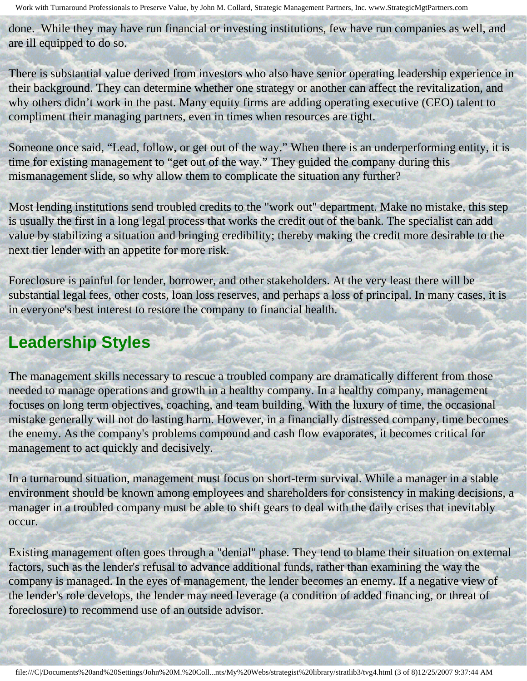done. While they may have run financial or investing institutions, few have run companies as well, and are ill equipped to do so.

There is substantial value derived from investors who also have senior operating leadership experience in their background. They can determine whether one strategy or another can affect the revitalization, and why others didn't work in the past. Many equity firms are adding operating executive (CEO) talent to compliment their managing partners, even in times when resources are tight.

Someone once said, "Lead, follow, or get out of the way." When there is an underperforming entity, it is time for existing management to "get out of the way." They guided the company during this mismanagement slide, so why allow them to complicate the situation any further?

Most lending institutions send troubled credits to the "work out" department. Make no mistake, this step is usually the first in a long legal process that works the credit out of the bank. The specialist can add value by stabilizing a situation and bringing credibility; thereby making the credit more desirable to the next tier lender with an appetite for more risk.

Foreclosure is painful for lender, borrower, and other stakeholders. At the very least there will be substantial legal fees, other costs, loan loss reserves, and perhaps a loss of principal. In many cases, it is in everyone's best interest to restore the company to financial health.

## **Leadership Styles**

The management skills necessary to rescue a troubled company are dramatically different from those needed to manage operations and growth in a healthy company. In a healthy company, management focuses on long term objectives, coaching, and team building. With the luxury of time, the occasional mistake generally will not do lasting harm. However, in a financially distressed company, time becomes the enemy. As the company's problems compound and cash flow evaporates, it becomes critical for management to act quickly and decisively.

In a turnaround situation, management must focus on short-term survival. While a manager in a stable environment should be known among employees and shareholders for consistency in making decisions, a manager in a troubled company must be able to shift gears to deal with the daily crises that inevitably occur.

Existing management often goes through a "denial" phase. They tend to blame their situation on external factors, such as the lender's refusal to advance additional funds, rather than examining the way the company is managed. In the eyes of management, the lender becomes an enemy. If a negative view of the lender's role develops, the lender may need leverage (a condition of added financing, or threat of foreclosure) to recommend use of an outside advisor.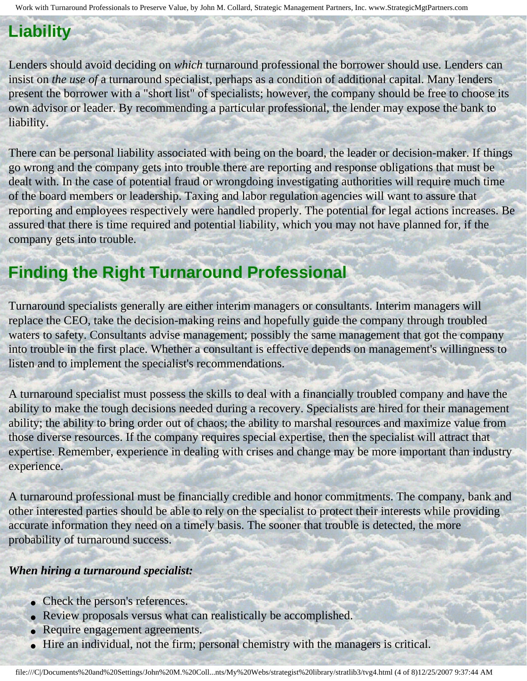## **Liability**

Lenders should avoid deciding on *which* turnaround professional the borrower should use. Lenders can insist on *the use of* a turnaround specialist, perhaps as a condition of additional capital. Many lenders present the borrower with a "short list" of specialists; however, the company should be free to choose its own advisor or leader. By recommending a particular professional, the lender may expose the bank to liability.

There can be personal liability associated with being on the board, the leader or decision-maker. If things go wrong and the company gets into trouble there are reporting and response obligations that must be dealt with. In the case of potential fraud or wrongdoing investigating authorities will require much time of the board members or leadership. Taxing and labor regulation agencies will want to assure that reporting and employees respectively were handled properly. The potential for legal actions increases. Be assured that there is time required and potential liability, which you may not have planned for, if the company gets into trouble.

# **Finding the Right Turnaround Professional**

Turnaround specialists generally are either interim managers or consultants. Interim managers will replace the CEO, take the decision-making reins and hopefully guide the company through troubled waters to safety. Consultants advise management; possibly the same management that got the company into trouble in the first place. Whether a consultant is effective depends on management's willingness to listen and to implement the specialist's recommendations.

A turnaround specialist must possess the skills to deal with a financially troubled company and have the ability to make the tough decisions needed during a recovery. Specialists are hired for their management ability; the ability to bring order out of chaos; the ability to marshal resources and maximize value from those diverse resources. If the company requires special expertise, then the specialist will attract that expertise. Remember, experience in dealing with crises and change may be more important than industry experience.

A turnaround professional must be financially credible and honor commitments. The company, bank and other interested parties should be able to rely on the specialist to protect their interests while providing accurate information they need on a timely basis. The sooner that trouble is detected, the more probability of turnaround success.

#### *When hiring a turnaround specialist:*

- Check the person's references.
- Review proposals versus what can realistically be accomplished.
- Require engagement agreements.
- Hire an individual, not the firm; personal chemistry with the managers is critical.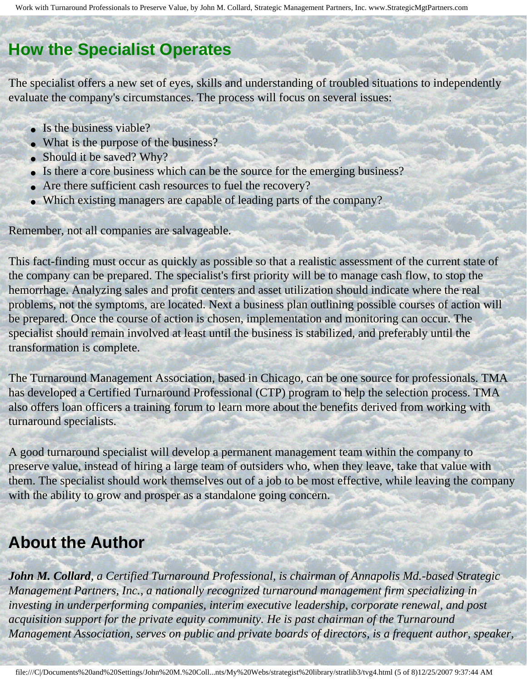### **How the Specialist Operates**

The specialist offers a new set of eyes, skills and understanding of troubled situations to independently evaluate the company's circumstances. The process will focus on several issues:

- Is the business viable?
- What is the purpose of the business?
- Should it be saved? Why?
- Is there a core business which can be the source for the emerging business?
- Are there sufficient cash resources to fuel the recovery?
- Which existing managers are capable of leading parts of the company?

Remember, not all companies are salvageable.

This fact-finding must occur as quickly as possible so that a realistic assessment of the current state of the company can be prepared. The specialist's first priority will be to manage cash flow, to stop the hemorrhage. Analyzing sales and profit centers and asset utilization should indicate where the real problems, not the symptoms, are located. Next a business plan outlining possible courses of action will be prepared. Once the course of action is chosen, implementation and monitoring can occur. The specialist should remain involved at least until the business is stabilized, and preferably until the transformation is complete.

The Turnaround Management Association, based in Chicago, can be one source for professionals. TMA has developed a Certified Turnaround Professional (CTP) program to help the selection process. TMA also offers loan officers a training forum to learn more about the benefits derived from working with turnaround specialists.

A good turnaround specialist will develop a permanent management team within the company to preserve value, instead of hiring a large team of outsiders who, when they leave, take that value with them. The specialist should work themselves out of a job to be most effective, while leaving the company with the ability to grow and prosper as a standalone going concern.

### <span id="page-4-0"></span>**About the Author**

*John M. Collard, a Certified Turnaround Professional, is chairman of Annapolis Md.-based Strategic Management Partners, Inc., a nationally recognized turnaround management firm specializing in investing in underperforming companies, interim executive leadership, corporate renewal, and post acquisition support for the private equity community. He is past chairman of the Turnaround Management Association, serves on public and private boards of directors, is a frequent author, speaker,*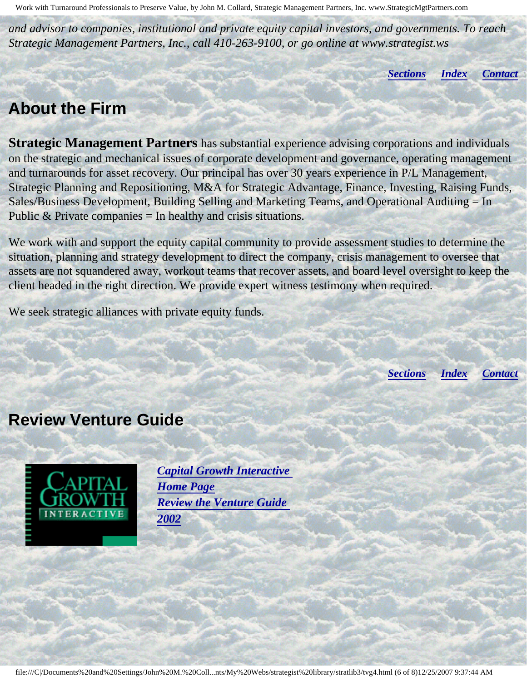*and advisor to companies, institutional and private equity capital investors, and governments. To reach Strategic Management Partners, Inc., call 410-263-9100, or go online at www.strategist.ws* 

*[Sections](#page-0-1) [Index](#page-0-2) [Contact](#page-6-0)*

### <span id="page-5-0"></span>**About the Firm**

**Strategic Management Partners** has substantial experience advising corporations and individuals on the strategic and mechanical issues of corporate development and governance, operating management and turnarounds for asset recovery. Our principal has over 30 years experience in P/L Management, Strategic Planning and Repositioning, M&A for Strategic Advantage, Finance, Investing, Raising Funds, Sales/Business Development, Building Selling and Marketing Teams, and Operational Auditing = In Public  $&$  Private companies  $=$  In healthy and crisis situations.

We work with and support the equity capital community to provide assessment studies to determine the situation, planning and strategy development to direct the company, crisis management to oversee that assets are not squandered away, workout teams that recover assets, and board level oversight to keep the client headed in the right direction. We provide expert witness testimony when required.

We seek strategic alliances with private equity funds.

*[Sections](#page-0-1) [Index](#page-0-2) [Contact](#page-6-0)*

### <span id="page-5-1"></span>**Review Venture Guide**



*[Capital Growth Interactive](http://www.capitalgrowth.com/)  [Home Page](http://www.capitalgrowth.com/) [Review the Venture Guide](http://www.capitalgrowth.com/subscribe/ventureguide.cfm) [2002](http://www.capitalgrowth.com/subscribe/ventureguide.cfm)*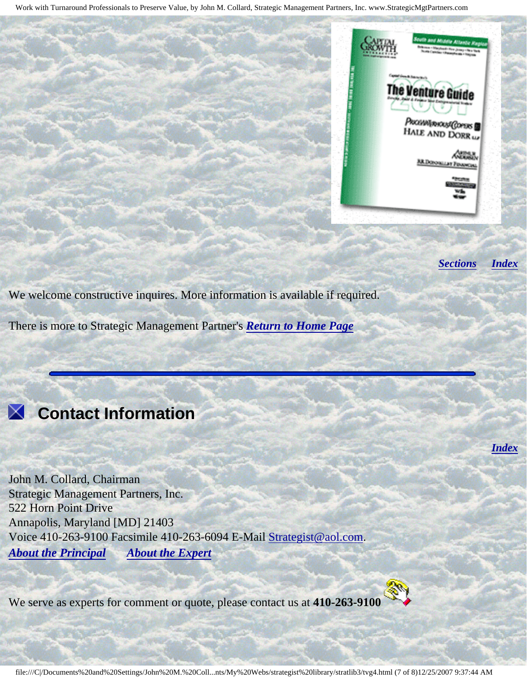

*[Sections](#page-0-1) [Index](#page-0-2)*

*[Index](#page-0-2)*

We welcome constructive inquires. More information is available if required.

There is more to Strategic Management Partner's *[Return to Home Page](http://members.aol.com/strategist/home.html#TOP)*



# <span id="page-6-0"></span> **Contact Information**

John M. Collard, Chairman Strategic Management Partners, Inc. 522 Horn Point Drive Annapolis, Maryland [MD] 21403 Voice 410-263-9100 Facsimile 410-263-6094 E-Mail [Strategist@aol.com](mailto:Strategist@aol.com?subject=SMPlibrary/feature articles). *[About the Principal](http://members.aol.com/strategist/jcbio.html#TOP) [About the Expert](http://members.aol.com/strategist/witness.html#TOP)*

We serve as experts for comment or quote, please contact us at **410-263-9100**